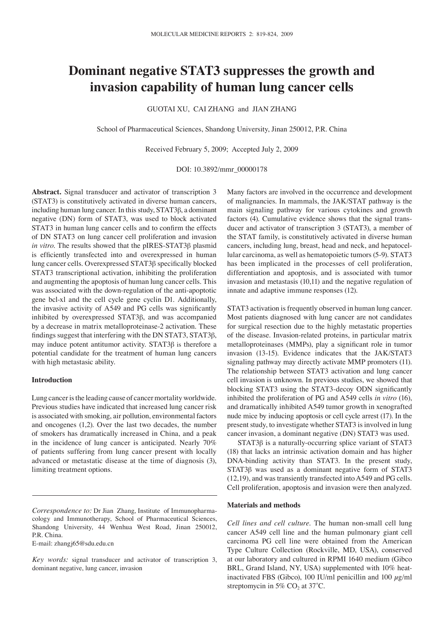# **Dominant negative STAT3 suppresses the growth and invasion capability of human lung cancer cells**

Guotai Xu, Cai Zhang and Jian Zhang

School of Pharmaceutical Sciences, Shandong University, Jinan 250012, P.R. China

Received February 5, 2009; Accepted July 2, 2009

DOI: 10.3892/mmr\_00000178

**Abstract.** Signal transducer and activator of transcription 3 (STAT3) is constitutively activated in diverse human cancers, including human lung cancer. In this study, STAT3β, a dominant negative (DN) form of STAT3, was used to block activated STAT3 in human lung cancer cells and to confirm the effects of DN STAT3 on lung cancer cell proliferation and invasion *in vitro*. The results showed that the pIRES-STAT3β plasmid is efficiently transfected into and overexpressed in human lung cancer cells. Overexpressed STAT3β specifically blocked STAT3 transcriptional activation, inhibiting the proliferation and augmenting the apoptosis of human lung cancer cells. This was associated with the down-regulation of the anti-apoptotic gene bcl-xl and the cell cycle gene cyclin D1. Additionally, the invasive activity of A549 and PG cells was significantly inhibited by overexpressed STAT3β, and was accompanied by a decrease in matrix metalloproteinase-2 activation. These findings suggest that interfering with the DN STAT3, STAT3β, may induce potent antitumor activity. STAT3β is therefore a potential candidate for the treatment of human lung cancers with high metastasic ability.

### **Introduction**

Lung cancer is the leading cause of cancer mortality worldwide. Previous studies have indicated that increased lung cancer risk is associated with smoking, air pollution, environmental factors and oncogenes (1,2). Over the last two decades, the number of smokers has dramatically increased in China, and a peak in the incidence of lung cancer is anticipated. Nearly 70% of patients suffering from lung cancer present with locally advanced or metastatic disease at the time of diagnosis (3), limiting treatment options.

*Correspondence to:* Dr Jian Zhang, Institute of Immunopharmacology and Immunotherapy, School of Pharmaceutical Sciences, Shandong University, 44 Wenhua West Road, Jinan 250012, P.R. China.

E-mail: zhangj65@sdu.edu.cn

*Key words:* signal transducer and activator of transcription 3, dominant negative, lung cancer, invasion

Many factors are involved in the occurrence and development of malignancies. In mammals, the JAK/STAT pathway is the main signaling pathway for various cytokines and growth factors (4). Cumulative evidence shows that the signal transducer and activator of transcription 3 (STAT3), a member of the STAT family, is constitutively activated in diverse human cancers, including lung, breast, head and neck, and hepatocellular carcinoma, as well as hematopoietic tumors (5-9). STAT3 has been implicated in the processes of cell proliferation, differentiation and apoptosis, and is associated with tumor invasion and metastasis (10,11) and the negative regulation of innate and adaptive immune responses (12).

STAT3 activation is frequently observed in human lung cancer. Most patients diagnosed with lung cancer are not candidates for surgical resection due to the highly metastatic properties of the disease. Invasion-related proteins, in particular matrix metalloproteinases (MMPs), play a significant role in tumor invasion (13-15). Evidence indicates that the JAK/STAT3 signaling pathway may directly activate MMP promoters (11). The relationship between STAT3 activation and lung cancer cell invasion is unknown. In previous studies, we showed that blocking STAT3 using the STAT3-decoy ODN significantly inhibited the proliferation of PG and A549 cells *in vitro* (16), and dramatically inhibited A549 tumor growth in xenografted nude mice by inducing apoptosis or cell cycle arrest (17). In the present study, to investigate whether STAT3 is involved in lung cancer invasion, a dominant negative (DN) STAT3 was used.

STAT3β is a naturally-occurring splice variant of STAT3 (18) that lacks an intrinsic activation domain and has higher DNA-binding activity than STAT3. In the present study, STAT3β was used as a dominant negative form of STAT3 (12,19), and was transiently transfected into A549 and PG cells. Cell proliferation, apoptosis and invasion were then analyzed.

## **Materials and methods**

*Cell lines and cell culture*. The human non-small cell lung cancer A549 cell line and the human pulmonary giant cell carcinoma PG cell line were obtained from the American Type Culture Collection (Rockville, MD, USA), conserved at our laboratory and cultured in RPMI 1640 medium (Gibco BRL, Grand Island, NY, USA) supplemented with 10% heatinactivated FBS (Gibco), 100 IU/ml penicillin and 100  $\mu$ g/ml streptomycin in 5% CO<sub>2</sub> at  $37^{\circ}$ C.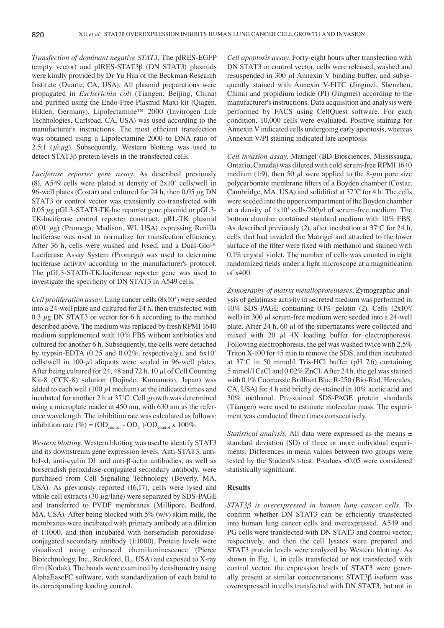*Transfection of dominant negative STAT3.* The pIRES-EGFP (empty vector) and pIRES-STAT3β (DN STAT3) plasmids were kindly provided by Dr Yu Hua of the Beckman Research Institute (Duarte, CA, USA). All plasmid preparations were propagated in *Escherichia coli* (Tiangen, Beijing, China) and purified using the Endo-Free Plasmid Maxi kit (Qiagen, Hilden, Germany). Lipofectamine™ 2000 (Invitrogen Life Technologies, Carlsbad, CA, USA) was used according to the manufacturer's instructions. The most efficient transfection was obtained using a Lipofectamine 2000 to DNA ratio of 2.5:1 ( $\mu$ l: $\mu$ g). Subsequently, Western blotting was used to detect STAT3β protein levels in the transfected cells.

*Luciferase reporter gene assay*. As described previously (8), A549 cells were plated at density of  $2x10<sup>4</sup>$  cells/well in 96-well plates (Costar) and cultured for 24 h, then 0.05  $\mu$ g DN STAT3 or control vector was transiently co-transfected with  $0.05 \mu$ g pGL3-STAT3-TK-luc reporter gene plasmid or pGL3-TK-luciferase control reporter construct. pRL-TK plasmid (0.01  $\mu$ g) (Promega, Madison, WI, USA) expressing Renilla luciferase was used to normalize for transfection efficiency. After 36 h, cells were washed and lysed, and a Dual-Glo™ Luciferase Assay System (Promega) was used to determine luciferase activity according to the manufacturer's protocol. The pGL3-STAT6-TK-luciferase reporter gene was used to investigate the specificity of DN STAT3 in A549 cells.

*Cell proliferation assay*. Lung cancer cells (8x10<sup>4</sup> ) were seeded into a 24-well plate and cultured for 24 h, then transfected with 0.3  $\mu$ g DN STAT3 or vector for 6 h according to the method described above. The medium was replaced by fresh RPMI 1640 medium supplemented with 10% FBS without antibiotics and cultured for another 6 h. Subsequently, the cells were detached by trypsin-EDTA (0.25 and 0.02%, respectively), and  $6x10^3$ cells/well in  $100-\mu l$  aliquots were seeded in 96-well plates. After being cultured for 24, 48 and 72 h, 10  $\mu$ l of Cell Counting Kit-8 (CCK-8) solution (Dojindo, Kumamoto, Japan) was added to each well (100  $\mu$ l medium) at the indicated times and incubated for another 2 h at 37˚C. Cell growth was determined using a microplate reader at 450 nm, with 630 nm as the reference wavelength. The inhibition rate was calculated as follows: inhibition rate (%) =  $OD_{\text{control}} - OD_{\text{T}}$  )/ $OD_{\text{control}} x 100\%$ .

*Western blotting*. Western blotting was used to identify STAT3 and its downstream gene expression levels. Anti-STAT3, antibcl-xl, anti-cyclin D1 and anti-β-actin antibodies, as well as horseradish peroxidase-conjugated secondary antibody, were purchased from Cell Signaling Technology (Beverly, MA, USA). As previously reported (16,17), cells were lysed and whole cell extracts (30  $\mu$ g/lane) were separated by SDS-PAGE and transferred to PVDF membranes (Millipore, Bedford, MA, USA). After being blocked with  $5\%$  (w/v) skim milk, the membranes were incubated with primary antibody at a dilution of 1:1000, and then incubated with horseradish peroxidaseconjugated secondary antibody (1:1000). Protein levels were visualized using enhanced chemiluminescence (Pierce Biotechnology, Inc., Rockford, IL, USA) and exposed to X-ray film (Kodak). The bands were examined by densitometry using AlphaEaseFC software, with standardization of each band to its corresponding loading control.

*Cell apoptosis assay*. Forty-eight hours after transfection with DN STAT3 or control vector, cells were released, washed and resuspended in 300  $\mu$ l Annexin V binding buffer, and subsequently stained with Annexin V-FITC (Jingmei, Shenzhen, China) and propidium iodide (PI) (Jingmei) according to the manufacturer's instructions. Data acquisition and analysis were performed by FACS using CellQuest software. For each condition, 10,000 cells were evaluated. Positive staining for Annexin V indicated cells undergoing early apoptosis, whereas Annexin V/PI staining indicated late apoptosis.

*Cell invasion assay*. Matrigel (BD Biosciences, Mississauga, Ontario, Canada) was diluted with cold serum-free RPMI 1640 medium (1:9), then 50  $\mu$ l were applied to the 8- $\mu$ m pore size polycarbonate membrane filters of a Boyden chamber (Costar, Cambridge, MA, USA) and solidified at 37˚C for 4 h. The cells were seeded into the upper compartment of the Boyden chamber at a density of  $1x10^5$  cells/200 $\mu$ l of serum-free medium. The bottom chamber contained standard medium with 10% FBS. As described previously (2), after incubation at 37˚C for 24 h, cells that had invaded the Matrigel and attached to the lower surface of the filter were fixed with methanol and stained with 0.1% crystal violet. The number of cells was counted in eight randomized fields under a light microscope at a magnification of x400.

*Zymography of matrix metalloproteinases.* Zymographic analysis of gelatinase activity in secreted medium was performed in 10% SDS-PAGE containing 0.1% gelatin (2). Cells (2x10<sup>5</sup> / well) in 300  $\mu$ l serum-free medium were seeded into a 24-well plate. After 24 h, 60  $\mu$ l of the supernatants were collected and mixed with 20  $\mu$ l 4X loading buffer for electrophoresis. Following electrophoresis, the gel was washed twice with 2.5% Triton X-100 for 45 min to remove the SDS, and then incubated at 37˚C in 50 mmol/l Tris-HCl buffer (pH 7.6) containing 5 mmol/l CaCl and 0.02% ZnCl. After 24 h, the gel was stained with 0.1% Coomassie Brilliant Blue R-250 (Bio-Rad, Hercules, CA, USA) for 4 h and briefly de-stained in 10% acetic acid and 30% methanol. Pre-stained SDS-PAGE protein standards (Tiangen) were used to estimate molecular mass. The experiment was conducted three times consecutively.

*Statistical analysis*. All data were expressed as the means ± standard deviation (SD) of three or more individual experiments. Differences in mean values between two groups were tested by the Student's t-test. P-values <0.05 were considered statistically significant.

#### **Results**

*STAT3β is overexpressed in human lung cancer cells.* To confirm whether DN STAT3 can be efficiently transfected into human lung cancer cells and overexpressed, A549 and PG cells were transfected with DN STAT3 and control vector, respectively, and then the cell lysates were prepared and STAT3 protein levels were analyzed by Western blotting. As shown in Fig. 1, in cells transfected or not transfected with control vector, the expression levels of STAT3 were generally present at similar concentrations; STAT3β isoform was overexpressed in cells transfected with DN STAT3, but not in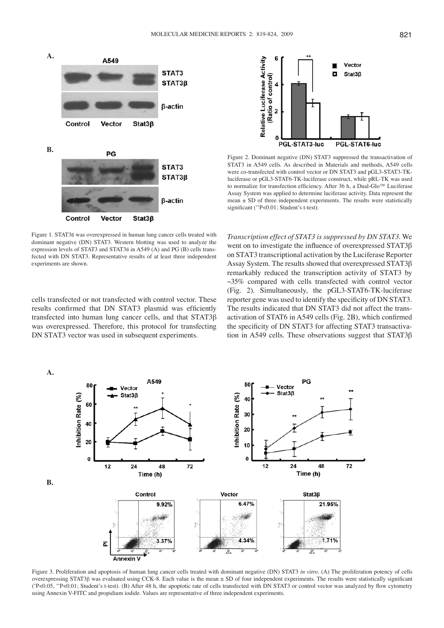

Figure 1. STAT3ß was overexpressed in human lung cancer cells treated with dominant negative (DN) STAT3. Western blotting was used to analyze the expression levels of STAT3 and STAT3ß in A549 (A) and PG (B) cells transfected with DN STAT3. Representative results of at least three independent experiments are shown.

cells transfected or not transfected with control vector. These results confirmed that DN STAT3 plasmid was efficiently transfected into human lung cancer cells, and that STAT3β was overexpressed. Therefore, this protocol for transfecting DN STAT3 vector was used in subsequent experiments.



Figure 2. Dominant negative (DN) STAT3 suppressed the transactivation of STAT3 in A549 cells. As described in Materials and methods, A549 cells were co-transfected with control vector or DN STAT3 and pGL3-STAT3-TKluciferase or pGL3-STAT6-TK-luciferase construct, while pRL-TK was used to normalize for transfection efficiency. After 36 h, a Dual-Glo™ Luciferase Assay System was applied to determine luciferase activity. Data represent the mean  $\pm$  SD of three independent experiments. The results were statistically significant (\*\*P<0.01; Student's t-test).

*Transcription effect of STAT3 is suppressed by DN STAT3*. We went on to investigate the influence of overexpressed STAT3β on STAT3 transcriptional activation by the Luciferase Reporter Assay System. The results showed that overexpressed STAT3β remarkably reduced the transcription activity of STAT3 by ~35% compared with cells transfected with control vector (Fig. 2). Simultaneously, the pGL3-STAT6-TK-luciferase reporter gene was used to identify the specificity of DN STAT3. The results indicated that DN STAT3 did not affect the transactivation of STAT6 in A549 cells (Fig. 2B), which confirmed the specificity of DN STAT3 for affecting STAT3 transactivation in A549 cells. These observations suggest that STAT3β



Figure 3. Proliferation and apoptosis of human lung cancer cells treated with dominant negative (DN) STAT3 *in vitro*. (A) The proliferation potency of cells overexpressing STAT3β was evaluated using CCK-8. Each value is the mean ± SD of four independent experiments. The results were statistically significant (\* P<0.05, \*\*P<0.01; Student's t-test). (B) After 48 h, the apoptotic rate of cells transfected with DN STAT3 or control vector was analyzed by flow cytometry using Annexin V-FITC and propidium iodide. Values are representative of three independent experiments.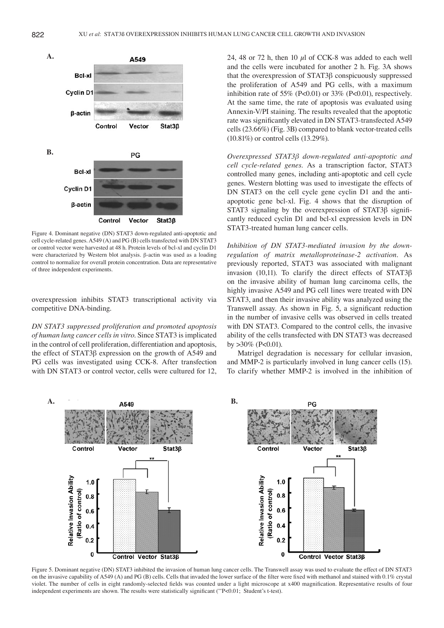

Figure 4. Dominant negative (DN) STAT3 down-regulated anti-apoptotic and cell cycle-related genes. A549 (A) and PG (B) cells transfected with DN STAT3 or control vector were harvested at 48 h. Protein levels of bcl-xl and cyclin D1 were characterized by Western blot analysis. β-actin was used as a loading control to normalize for overall protein concentration. Data are representative of three independent experiments.

overexpression inhibits STAT3 transcriptional activity via competitive DNA-binding.

*DN STAT3 suppressed proliferation and promoted apoptosis of human lung cancer cells in vitro*. Since STAT3 is implicated in the control of cell proliferation, differentiation and apoptosis, the effect of STAT3β expression on the growth of A549 and PG cells was investigated using CCK-8. After transfection with DN STAT3 or control vector, cells were cultured for 12, 24, 48 or 72 h, then 10  $\mu$ l of CCK-8 was added to each well and the cells were incubated for another 2 h. Fig. 3A shows that the overexpression of STAT3β conspicuously suppressed the proliferation of A549 and PG cells, with a maximum inhibition rate of 55% (P<0.01) or 33% (P<0.01), respectively. At the same time, the rate of apoptosis was evaluated using Annexin-V/PI staining. The results revealed that the apoptotic rate was significantly elevated in DN STAT3-transfected A549 cells (23.66%) (Fig. 3B) compared to blank vector-treated cells (10.81%) or control cells (13.29%).

*Overexpressed STAT3β down-regulated anti-apoptotic and cell cycle-related genes*. As a transcription factor, STAT3 controlled many genes, including anti-apoptotic and cell cycle genes. Western blotting was used to investigate the effects of DN STAT3 on the cell cycle gene cyclin D1 and the antiapoptotic gene bcl-xl. Fig. 4 shows that the disruption of STAT3 signaling by the overexpression of STAT3β significantly reduced cyclin D1 and bcl-xl expression levels in DN STAT3-treated human lung cancer cells.

*Inhibition of DN STAT3-mediated invasion by the downregulation of matrix metalloproteinase-2 activation*. As previously reported, STAT3 was associated with malignant invasion (10,11). To clarify the direct effects of STAT3β on the invasive ability of human lung carcinoma cells, the highly invasive A549 and PG cell lines were treated with DN STAT3, and then their invasive ability was analyzed using the Transwell assay. As shown in Fig. 5, a significant reduction in the number of invasive cells was observed in cells treated with DN STAT3. Compared to the control cells, the invasive ability of the cells transfected with DN STAT3 was decreased by  $>30\%$  (P<0.01).

Matrigel degradation is necessary for cellular invasion, and MMP-2 is particularly involved in lung cancer cells (15). To clarify whether MMP-2 is involved in the inhibition of



Figure 5. Dominant negative (DN) STAT3 inhibited the invasion of human lung cancer cells. The Transwell assay was used to evaluate the effect of DN STAT3 on the invasive capability of A549 (A) and PG (B) cells. Cells that invaded the lower surface of the filter were fixed with methanol and stained with 0.1% crystal violet. The number of cells in eight randomly-selected fields was counted under a light microscope at x400 magnification. Representative results of four independent experiments are shown. The results were statistically significant (\*\*P<0.01; Student's t-test).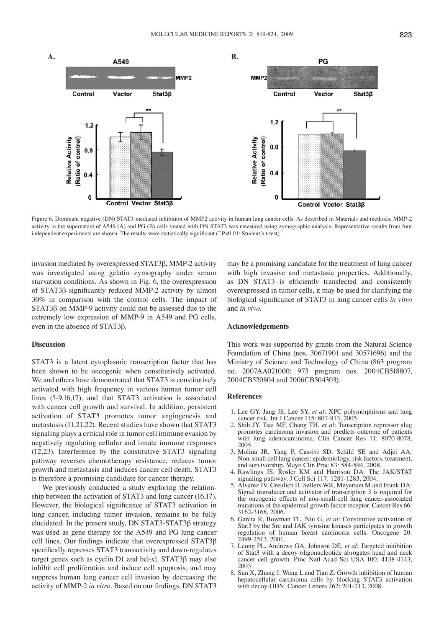

Figure 6. Dominant negative (DN) STAT3-mediated inhibition of MMP2 activity in human lung cancer cells. As described in Materials and methods, MMP-2 activity in the supernatant of A549 (A) and PG (B) cells treated with DN STAT3 was measured using zymographic analysis. Representative results from four independent experiments are shown. The results were statistically significant (\*\*P<0.01; Student's t-test).

invasion mediated by overexpressed STAT3β, MMP-2 activity was investigated using gelatin zymography under serum starvation conditions. As shown in Fig. 6, the overexpression of STAT3β significantly reduced MMP-2 activity by almost 30% in comparison with the control cells. The impact of STAT3β on MMP-9 activity could not be assessed due to the extremely low expression of MMP-9 in A549 and PG cells, even in the absence of STAT3β.

#### **Discussion**

STAT3 is a latent cytoplasmic transcription factor that has been shown to be oncogenic when constitutively activated. We and others have demonstrated that STAT3 is constitutively activated with high frequency in various human tumor cell lines (5-9,16,17), and that STAT3 activation is associated with cancer cell growth and survival. In addition, persistent activation of STAT3 promotes tumor angiogenesis and metastasis (11,21,22). Recent studies have shown that STAT3 signaling plays a critical role in tumor cell immune evasion by negatively regulating cellular and innate immune responses (12,23). Interference by the constitutive STAT3 signaling pathway reverses chemotherapy resistance, reduces tumor growth and metastasis and induces cancer cell death. STAT3 is therefore a promising candidate for cancer therapy.

We previously conducted a study exploring the relationship between the activation of STAT3 and lung cancer (16,17). However, the biological significance of STAT3 activation in lung cancer, including tumor invasion, remains to be fully elucidated. In the present study, DN STAT3-STAT3β strategy was used as gene therapy for the A549 and PG lung cancer cell lines. Our findings indicate that overexpressed STAT3β specifically represses STAT3 transactivity and down-regulates target genes such as cyclin D1 and bcl-xl. STAT3β may also inhibit cell proliferation and induce cell apoptosis, and may suppress human lung cancer cell invasion by decreasing the activity of MMP-2 *in vitro.* Based on our findings, DN STAT3

may be a promising candidate for the treatment of lung cancer with high invasive and metastasic properties. Additionally, as DN STAT3 is efficiently transfected and consistently overexpressed in tumor cells, it may be used for clarifying the biological significance of STAT3 in lung cancer cells *in vitro*  and *in vivo*.

#### **Acknowledgements**

This work was supported by grants from the Natural Science Foundation of China (nos. 30671901 and 30571696) and the Ministry of Science and Technology of China (863 program no. 2007AA021000; 973 program nos. 2004CB518807, 2004CB520804 and 2006CB504303).

### **References**

- 1. Lee GY, Jang JS, Lee SY, *et al*: XPC polymorphisms and lung cancer risk. Int J Cancer 115: 807*-*813, 2005.
- 2. Shih JY, Tsai MF, Chang TH, *et al*: Tanscription repressor slug promotes carcinoma invasion and predicts outcome of patients with lung adenocarcinoma. Clin Cancer Res 11: 8070*-*8078, 2005.
- 3. Molina JR, Yang P, Cassivi SD, Schild SE and Adjei AA: Non-small cell lung cancer: epidemiology, risk factors, treatment, and survivorship. Mayo Clin Proc 83: 584-594, 2008.
- 4. Rawlings JS, Rosler KM and Harrison DA: The JAK/STAT signaling pathway. J Cell Sci 117: 1281-1283, 2004.
- 5. Alvarez JV, Greulich H, Sellers WR, Meyerson M and Frank DA: Signal transducer and activator of transcription 3 is required for the oncogenic effects of non-small-cell lung cancer-associated mutations of the epidermal growth factor receptor. Cancer Res 66: 3162-3168, 2006.
- 6. Garcia R, Bowman TL, Niu G, *et al*: Constitutive activation of Stat3 by the Src and JAK tyrosine kinases participates in growth regulation of human breast carcinoma cells. Oncogene 20: 2499-2513, 2001.
- 7. Leong PL, Andrews GA, Johnson DE, *et al*: Targeted inhibition of Stat3 with a decoy oligonucleotide abrogates head and neck cancer cell growth. Proc Natl Acad Sci USA 100: 4138-4143, 2003.
- 8. Sun X, Zhang J, Wang L and Tian Z: Growth inhibition of human hepatocellular carcinoma cells by blocking STAT3 activation with decoy-ODN. Cancer Letters 262: 201-213, 2008.